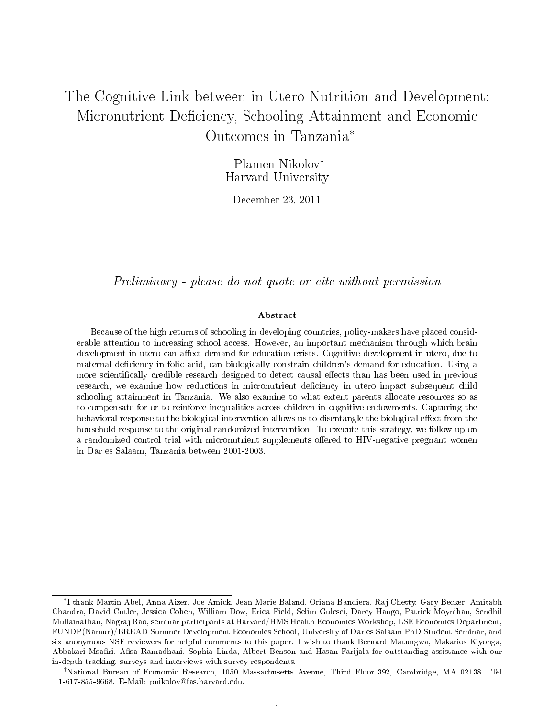# The Cognitive Link between in Utero Nutrition and Development: Micronutrient Deficiency, Schooling Attainment and Economic Outcomes in Tanzania<sup>∗</sup>

Plamen Nikolov† Harvard University

December 23, 2011

Preliminary - please do not quote or cite without permission

#### Abstract

Because of the high returns of schooling in developing countries, policy-makers have placed considerable attention to increasing school access. However, an important mechanism through which brain development in utero can affect demand for education exists. Cognitive development in utero, due to maternal deficiency in folic acid, can biologically constrain children's demand for education. Using a more scientifically credible research designed to detect causal effects than has been used in previous research, we examine how reductions in micronutrient deficiency in utero impact subsequent child schooling attainment in Tanzania. We also examine to what extent parents allocate resources so as to compensate for or to reinforce inequalities across children in cognitive endowments. Capturing the behavioral response to the biological intervention allows us to disentangle the biological effect from the household response to the original randomized intervention. To execute this strategy, we follow up on a randomized control trial with micronutrient supplements offered to HIV-negative pregnant women in Dar es Salaam, Tanzania between 2001-2003.

<sup>∗</sup> I thank Martin Abel, Anna Aizer, Joe Amick, Jean-Marie Baland, Oriana Bandiera, Raj Chetty, Gary Becker, Amitabh Chandra, David Cutler, Jessica Cohen, William Dow, Erica Field, Selim Gulesci, Darcy Hango, Patrick Moynihan, Sendhil Mullainathan, Nagraj Rao, seminar participants at Harvard/HMS Health Economics Workshop, LSE Economics Department, FUNDP(Namur)/BREAD Summer Development Economics School, University of Dar es Salaam PhD Student Seminar, and six anonymous NSF reviewers for helpful comments to this paper. I wish to thank Bernard Matungwa, Makarios Kiyonga, Abbakari Msafiri, Afisa Ramadhani, Sophia Linda, Albert Benson and Hasan Farijala for outstanding assistance with our in-depth tracking, surveys and interviews with survey respondents.

<sup>†</sup>National Bureau of Economic Research, 1050 Massachusetts Avenue, Third Floor-392, Cambridge, MA 02138. Tel +1-617-855-9668. E-Mail: pnikolov@fas.harvard.edu.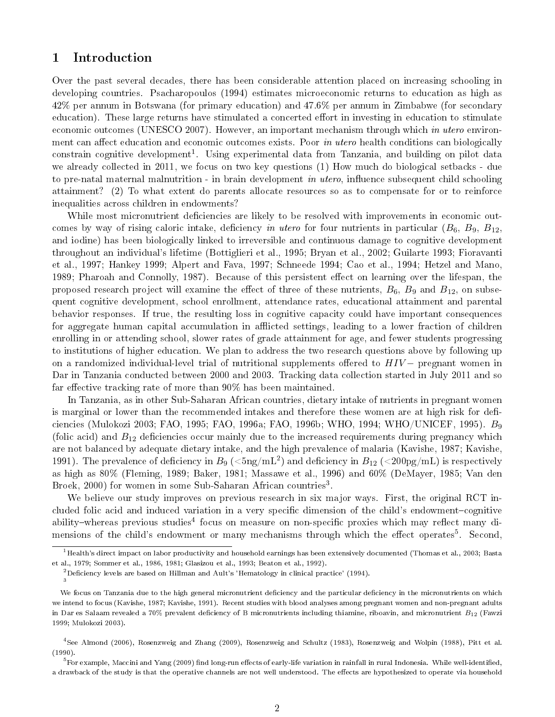# 1 Introduction

Over the past several decades, there has been considerable attention placed on increasing schooling in developing countries. Psacharopoulos (1994) estimates microeconomic returns to education as high as 42% per annum in Botswana (for primary education) and 47.6% per annum in Zimbabwe (for secondary education). These large returns have stimulated a concerted effort in investing in education to stimulate economic outcomes (UNESCO 2007). However, an important mechanism through which in utero environment can affect education and economic outcomes exists. Poor in utero health conditions can biologically constrain cognitive development<sup>1</sup>. Using experimental data from Tanzania, and building on pilot data we already collected in 2011, we focus on two key questions (1) How much do biological setbacks - due to pre-natal maternal malnutrition - in brain development in utero, influence subsequent child schooling attainment? (2) To what extent do parents allocate resources so as to compensate for or to reinforce inequalities across children in endowments?

While most micronutrient deficiencies are likely to be resolved with improvements in economic outcomes by way of rising caloric intake, deficiency in utero for four nutrients in particular  $(B_6, B_9, B_{12})$ and iodine) has been biologically linked to irreversible and continuous damage to cognitive development throughout an individual's lifetime (Bottiglieri et al., 1995; Bryan et al., 2002; Guilarte 1993; Fioravanti et al., 1997; Hankey 1999; Alpert and Fava, 1997; Schneede 1994; Cao et al., 1994; Hetzel and Mano, 1989; Pharoah and Connolly, 1987). Because of this persistent effect on learning over the lifespan, the proposed research project will examine the effect of three of these nutrients,  $B_6$ ,  $B_9$  and  $B_{12}$ , on subsequent cognitive development, school enrollment, attendance rates, educational attainment and parental behavior responses. If true, the resulting loss in cognitive capacity could have important consequences for aggregate human capital accumulation in afflicted settings, leading to a lower fraction of children enrolling in or attending school, slower rates of grade attainment for age, and fewer students progressing to institutions of higher education. We plan to address the two research questions above by following up on a randomized individual-level trial of nutritional supplements offered to  $HIV-$  pregnant women in Dar in Tanzania conducted between 2000 and 2003. Tracking data collection started in July 2011 and so far effective tracking rate of more than  $90\%$  has been maintained.

In Tanzania, as in other Sub-Saharan African countries, dietary intake of nutrients in pregnant women is marginal or lower than the recommended intakes and therefore these women are at high risk for deficiencies (Mulokozi 2003; FAO, 1995; FAO, 1996a; FAO, 1996b; WHO, 1994; WHO/UNICEF, 1995).  $B_9$ (folic acid) and  $B_{12}$  deficiencies occur mainly due to the increased requirements during pregnancy which are not balanced by adequate dietary intake, and the high prevalence of malaria (Kavishe, 1987; Kavishe, 1991). The prevalence of deficiency in  $B_9$  ( $\rm {5ng/mL^2}$ ) and deficiency in  $B_{12}$  ( $\rm {<}200pg/mL$ ) is respectively as high as 80% (Fleming, 1989; Baker, 1981; Massawe et al., 1996) and 60% (DeMayer, 1985; Van den Broek, 2000) for women in some Sub-Saharan African countries<sup>3</sup>.

We believe our study improves on previous research in six major ways. First, the original RCT included folic acid and induced variation in a very specific dimension of the child's endowment-cognitive ability–whereas previous studies<sup>4</sup> focus on measure on non-specific proxies which may reflect many dimensions of the child's endowment or many mechanisms through which the effect operates<sup>5</sup>. Second,

 $^1\rm{Health}$ 's direct impact on labor productivity and household earnings has been extensively documented (Thomas et al., 2003; Basta et al., 1979; Sommer et al., 1986, 1981; Glasizou et al., 1993; Beaton et al., 1992).

 $^{2}$ Deficiency levels are based on Hillman and Ault's 'Hematology in clinical practice' (1994). 3

We focus on Tanzania due to the high general micronutrient deficiency and the particular deficiency in the micronutrients on which we intend to focus (Kavishe, 1987; Kavishe, 1991). Recent studies with blood analyses among pregnant women and non-pregnant adults in Dar es Salaam revealed a 70% prevalent deficiency of B micronutrients including thiamine, riboavin, and micronutrient  $B_{12}$  (Fawzi 1999; Mulokozi 2003).

<sup>4</sup> See Almond (2006), Rosenzweig and Zhang (2009), Rosenzweig and Schultz (1983), Rosenzweig and Wolpin (1988), Pitt et al. (1990).

 $^5$ For example, Maccini and Yang (2009) find long-run effects of early-life variation in rainfall in rural Indonesia. While well-identified, a drawback of the study is that the operative channels are not well understood. The effects are hypothesized to operate via household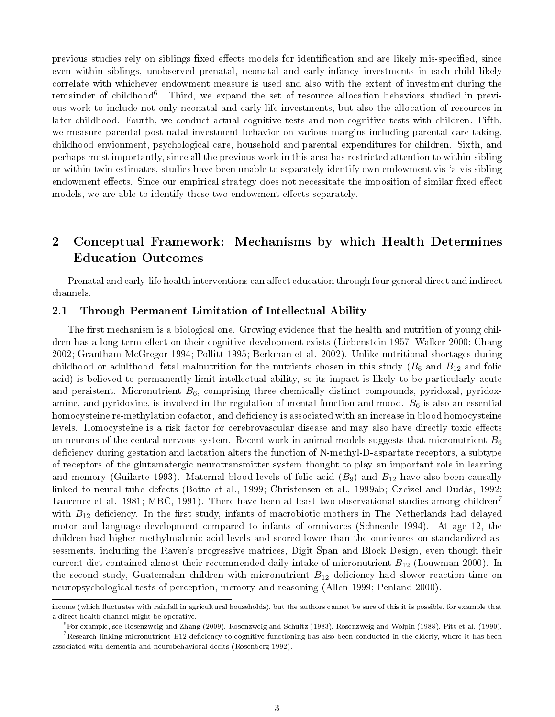previous studies rely on siblings fixed effects models for identification and are likely mis-specified, since even within siblings, unobserved prenatal, neonatal and early-infancy investments in each child likely correlate with whichever endowment measure is used and also with the extent of investment during the remainder of childhood<sup>6</sup>. Third, we expand the set of resource allocation behaviors studied in previous work to include not only neonatal and early-life investments, but also the allocation of resources in later childhood. Fourth, we conduct actual cognitive tests and non-cognitive tests with children. Fifth, we measure parental post-natal investment behavior on various margins including parental care-taking, childhood envionment, psychological care, household and parental expenditures for children. Sixth, and perhaps most importantly, since all the previous work in this area has restricted attention to within-sibling or within-twin estimates, studies have been unable to separately identify own endowment vis-`a-vis sibling endowment effects. Since our empirical strategy does not necessitate the imposition of similar fixed effect models, we are able to identify these two endowment effects separately.

# 2 Conceptual Framework: Mechanisms by which Health Determines Education Outcomes

Prenatal and early-life health interventions can affect education through four general direct and indirect channels.

## 2.1 Through Permanent Limitation of Intellectual Ability

The first mechanism is a biological one. Growing evidence that the health and nutrition of young children has a long-term effect on their cognitive development exists (Liebenstein 1957; Walker 2000; Chang 2002; Grantham-McGregor 1994; Pollitt 1995; Berkman et al. 2002). Unlike nutritional shortages during childhood or adulthood, fetal malnutrition for the nutrients chosen in this study  $(B_6 \text{ and } B_{12} \text{ and folic})$ acid) is believed to permanently limit intellectual ability, so its impact is likely to be particularly acute and persistent. Micronutrient  $B_6$ , comprising three chemically distinct compounds, pyridoxal, pyridoxamine, and pyridoxine, is involved in the regulation of mental function and mood.  $B_6$  is also an essential homocysteine re-methylation cofactor, and deficiency is associated with an increase in blood homocysteine levels. Homocysteine is a risk factor for cerebrovascular disease and may also have directly toxic effects on neurons of the central nervous system. Recent work in animal models suggests that micronutrient  $B_6$ deficiency during gestation and lactation alters the function of N-methyl-D-aspartate receptors, a subtype of receptors of the glutamatergic neurotransmitter system thought to play an important role in learning and memory (Guilarte 1993). Maternal blood levels of folic acid  $(B_9)$  and  $B_{12}$  have also been causally linked to neural tube defects (Botto et al., 1999; Christensen et al., 1999ab; Czeizel and Dudás, 1992; Laurence et al. 1981; MRC, 1991). There have been at least two observational studies among children<sup>7</sup> with  $B_{12}$  deficiency. In the first study, infants of macrobiotic mothers in The Netherlands had delayed motor and language development compared to infants of omnivores (Schneede 1994). At age 12, the children had higher methylmalonic acid levels and scored lower than the omnivores on standardized assessments, including the Raven's progressive matrices, Digit Span and Block Design, even though their current diet contained almost their recommended daily intake of micronutrient  $B_{12}$  (Louwman 2000). In the second study, Guatemalan children with micronutrient  $B_{12}$  deficiency had slower reaction time on neuropsychological tests of perception, memory and reasoning (Allen 1999; Penland 2000).

income (which fluctuates with rainfall in agricultural households), but the authors cannot be sure of this it is possible, for example that a direct health channel might be operative.

<sup>6</sup>For example, see Rosenzweig and Zhang (2009), Rosenzweig and Schultz (1983), Rosenzweig and Wolpin (1988), Pitt et al. (1990).

<sup>&</sup>lt;sup>7</sup>Research linking micronutrient B12 deficiency to cognitive functioning has also been conducted in the elderly, where it has been associated with dementia and neurobehavioral decits (Rosenberg 1992).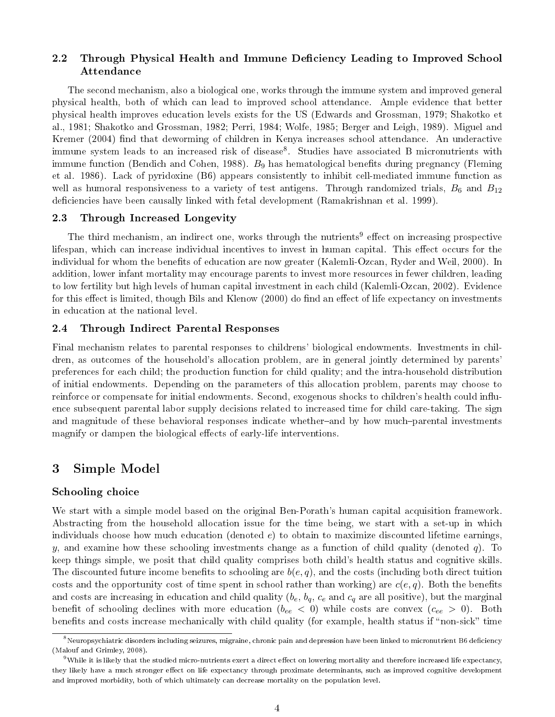### 2.2 Through Physical Health and Immune Deficiency Leading to Improved School Attendance

The second mechanism, also a biological one, works through the immune system and improved general physical health, both of which can lead to improved school attendance. Ample evidence that better physical health improves education levels exists for the US (Edwards and Grossman, 1979; Shakotko et al., 1981; Shakotko and Grossman, 1982; Perri, 1984; Wolfe, 1985; Berger and Leigh, 1989). Miguel and Kremer (2004) find that deworming of children in Kenya increases school attendance. An underactive immune system leads to an increased risk of disease<sup>8</sup>. Studies have associated B micronutrients with immune function (Bendich and Cohen, 1988). B<sub>9</sub> has hematological benefits during pregnancy (Fleming et al. 1986). Lack of pyridoxine (B6) appears consistently to inhibit cell-mediated immune function as well as humoral responsiveness to a variety of test antigens. Through randomized trials,  $B_6$  and  $B_{12}$ deficiencies have been causally linked with fetal development (Ramakrishnan et al. 1999).

### 2.3 Through Increased Longevity

The third mechanism, an indirect one, works through the nutrients<sup>9</sup> effect on increasing prospective lifespan, which can increase individual incentives to invest in human capital. This effect occurs for the individual for whom the benefits of education are now greater (Kalemli-Ozcan, Ryder and Weil, 2000). In addition, lower infant mortality may encourage parents to invest more resources in fewer children, leading to low fertility but high levels of human capital investment in each child (Kalemli-Ozcan, 2002). Evidence for this effect is limited, though Bils and Klenow (2000) do find an effect of life expectancy on investments in education at the national level.

### 2.4 Through Indirect Parental Responses

Final mechanism relates to parental responses to childrens' biological endowments. Investments in children, as outcomes of the household's allocation problem, are in general jointly determined by parents' preferences for each child; the production function for child quality; and the intra-household distribution of initial endowments. Depending on the parameters of this allocation problem, parents may choose to reinforce or compensate for initial endowments. Second, exogenous shocks to children's health could inuence subsequent parental labor supply decisions related to increased time for child care-taking. The sign and magnitude of these behavioral responses indicate whether-and by how much-parental investments magnify or dampen the biological effects of early-life interventions.

# 3 Simple Model

### Schooling choice

We start with a simple model based on the original Ben-Porath's human capital acquisition framework. Abstracting from the household allocation issue for the time being, we start with a set-up in which individuals choose how much education (denoted  $e$ ) to obtain to maximize discounted lifetime earnings, y, and examine how these schooling investments change as a function of child quality (denoted q). To keep things simple, we posit that child quality comprises both child's health status and cognitive skills. The discounted future income benefits to schooling are  $b(e, q)$ , and the costs (including both direct tuition costs and the opportunity cost of time spent in school rather than working) are  $c(e, q)$ . Both the benefits and costs are increasing in education and child quality  $(b_e, b_q, c_e$  and  $c_q$  are all positive), but the marginal benefit of schooling declines with more education  $(b_{ee} < 0)$  while costs are convex  $(c_{ee} > 0)$ . Both benefits and costs increase mechanically with child quality (for example, health status if "non-sick" time

 $8$ Neuropsychiatric disorders including seizures, migraine, chronic pain and depression have been linked to micronutrient B6 deficiency (Malouf and Grimley, 2008).

<sup>&</sup>lt;sup>9</sup>While it is likely that the studied micro-nutrients exert a direct effect on lowering mortality and therefore increased life expectancy, they likely have a much stronger effect on life expectancy through proximate determinants, such as improved cognitive development and improved morbidity, both of which ultimately can decrease mortality on the population level.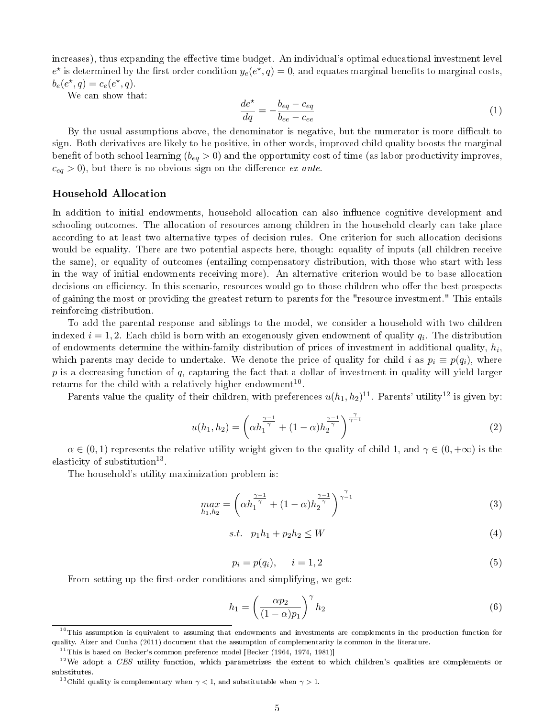increases), thus expanding the effective time budget. An individual's optimal educational investment level  $e^*$  is determined by the first order condition  $y_e(e^*,q) = 0$ , and equates marginal benefits to marginal costs,  $b_e(e^{\star}, q) = c_e(e^{\star}, q).$ 

We can show that:

$$
\frac{de^{\star}}{dq} = -\frac{b_{eq} - c_{eq}}{b_{ee} - c_{ee}}\tag{1}
$$

By the usual assumptions above, the denominator is negative, but the numerator is more difficult to sign. Both derivatives are likely to be positive, in other words, improved child quality boosts the marginal benefit of both school learning  $(b_{eq} > 0)$  and the opportunity cost of time (as labor productivity improves,  $c_{eq} > 0$ , but there is no obvious sign on the difference ex ante.

### Household Allocation

In addition to initial endowments, household allocation can also influence cognitive development and schooling outcomes. The allocation of resources among children in the household clearly can take place according to at least two alternative types of decision rules. One criterion for such allocation decisions would be equality. There are two potential aspects here, though: equality of inputs (all children receive the same), or equality of outcomes (entailing compensatory distribution, with those who start with less in the way of initial endowments receiving more). An alternative criterion would be to base allocation decisions on efficiency. In this scenario, resources would go to those children who offer the best prospects of gaining the most or providing the greatest return to parents for the "resource investment." This entails reinforcing distribution.

To add the parental response and siblings to the model, we consider a household with two children indexed  $i=1,2$ . Each child is born with an exogenously given endowment of quality  $q_i$ . The distribution of endowments determine the within-family distribution of prices of investment in additional quality,  $h_i$ , which parents may decide to undertake. We denote the price of quality for child i as  $p_i \equiv p(q_i)$ , where  $p$  is a decreasing function of  $q$ , capturing the fact that a dollar of investment in quality will yield larger returns for the child with a relatively higher endowment<sup>10</sup>.

Parents value the quality of their children, with preferences  $u(h_1, h_2)^{11}$ . Parents' utility<sup>12</sup> is given by:

$$
u(h_1, h_2) = \left(\alpha h_1^{\frac{\gamma - 1}{\gamma}} + (1 - \alpha) h_2^{\frac{\gamma - 1}{\gamma}}\right)^{\frac{\gamma}{\gamma - 1}}
$$
\n(2)

 $\alpha \in (0,1)$  represents the relative utility weight given to the quality of child 1, and  $\gamma \in (0,+\infty)$  is the elasticity of substitution<sup>13</sup>.

The household's utility maximization problem is:

$$
\max_{h_1, h_2} = \left(\alpha h_1^{\frac{\gamma - 1}{\gamma}} + (1 - \alpha) h_2^{\frac{\gamma - 1}{\gamma}}\right)^{\frac{\gamma}{\gamma - 1}}\tag{3}
$$

$$
s.t. \quad p_1h_1 + p_2h_2 \le W \tag{4}
$$

$$
p_i = p(q_i), \qquad i = 1, 2 \tag{5}
$$

From setting up the first-order conditions and simplifying, we get:

$$
h_1 = \left(\frac{\alpha p_2}{(1-\alpha)p_1}\right)^{\gamma} h_2 \tag{6}
$$

 $10$ This assumption is equivalent to assuming that endowments and investments are complements in the production function for quality. Aizer and Cunha (2011) document that the assumption of complementarity is common in the literature.

 $11$ This is based on Becker's common preference model [Becker (1964, 1974, 1981)]

 $12$ We adopt a CES utility function, which parametrizes the extent to which children's qualities are complements or substitutes.

 $^{13}$ Child quality is complementary when  $\gamma < 1,$  and substitutable when  $\gamma > 1.$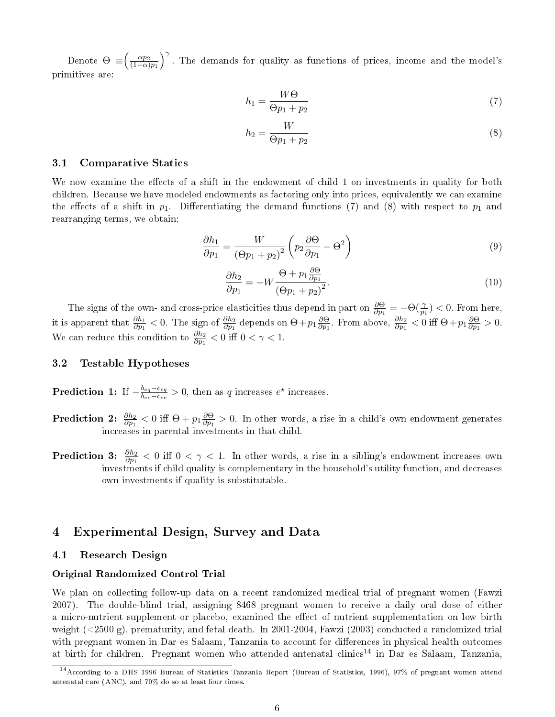Denote  $\Theta \equiv \left(\frac{\alpha p_2}{(1-\alpha)}\right)$  $(1-\alpha)p_1$  $\int^{\gamma}$ . The demands for quality as functions of prices, income and the model's primitives are:

$$
h_1 = \frac{W\Theta}{\Theta p_1 + p_2} \tag{7}
$$

$$
h_2 = \frac{W}{\Theta p_1 + p_2} \tag{8}
$$

### 3.1 Comparative Statics

We now examine the effects of a shift in the endowment of child 1 on investments in quality for both children. Because we have modeled endowments as factoring only into prices, equivalently we can examine the effects of a shift in  $p_1$ . Differentiating the demand functions (7) and (8) with respect to  $p_1$  and rearranging terms, we obtain:

$$
\frac{\partial h_1}{\partial p_1} = \frac{W}{\left(\Theta p_1 + p_2\right)^2} \left(p_2 \frac{\partial \Theta}{\partial p_1} - \Theta^2\right) \tag{9}
$$

$$
\frac{\partial h_2}{\partial p_1} = -W \frac{\Theta + p_1 \frac{\partial \Theta}{\partial p_1}}{\left(\Theta p_1 + p_2\right)^2}.
$$
\n(10)

The signs of the own- and cross-price elasticities thus depend in part on  $\frac{\partial \Theta}{\partial p_1} = -\Theta(\frac{\gamma}{p_1}) < 0$ . From here, it is apparent that  $\frac{\partial h_1}{\partial p_1} < 0$ . The sign of  $\frac{\partial h_2}{\partial p_1}$  depends on  $\Theta + p_1 \frac{\partial \Theta}{\partial p_1}$  $\frac{\partial \Theta}{\partial p_1}$ . From above,  $\frac{\partial h_2}{\partial p_1} < 0$  iff  $\Theta + p_1 \frac{\partial \Theta}{\partial p_1}$  $\frac{\partial \Theta}{\partial p_1} > 0.$ We can reduce this condition to  $\frac{\partial h_2}{\partial p_1} < 0$  iff  $0 < \gamma < 1$ .

### 3.2 Testable Hypotheses

Prediction 1: If  $-\frac{b_{eq}-c_{eq}}{b_{eq}-c_{eq}}$  $\frac{b_{eq} - c_{eq}}{b_{ee} - c_{ee}} > 0$ , then as q increases  $e^{\star}$  increases.

- $\textbf{ Prediction}~~ \textbf{2:}~~ \frac{\partial h_2}{\partial p_1} < 0 \, \, \text{iff} \, \, \Theta + p_1 \frac{\partial \Theta}{\partial p_1}$  $\frac{\partial \Theta}{\partial p_1} > 0$ . In other words, a rise in a child's own endowment generates increases in parental investments in that child.
- **Prediction 3:**  $\frac{\partial h_2}{\partial p_1} < 0$  iff  $0 < \gamma < 1$ . In other words, a rise in a sibling's endowment increases own investments if child quality is complementary in the household's utility function, and decreases own investments if quality is substitutable.

# 4 Experimental Design, Survey and Data

### 4.1 Research Design

### Original Randomized Control Trial

We plan on collecting follow-up data on a recent randomized medical trial of pregnant women (Fawzi 2007). The double-blind trial, assigning 8468 pregnant women to receive a daily oral dose of either a micro-nutrient supplement or placebo, examined the effect of nutrient supplementation on low birth weight (<2500 g), prematurity, and fetal death. In 2001-2004, Fawzi (2003) conducted a randomized trial with pregnant women in Dar es Salaam, Tanzania to account for differences in physical health outcomes at birth for children. Pregnant women who attended antenatal clinics<sup>14</sup> in Dar es Salaam, Tanzania,

<sup>14</sup>According to a DHS 1996 Bureau of Statistics Tanzania Report (Bureau of Statistics, 1996), 97% of pregnant women attend antenatal care (ANC), and 70% do so at least four times.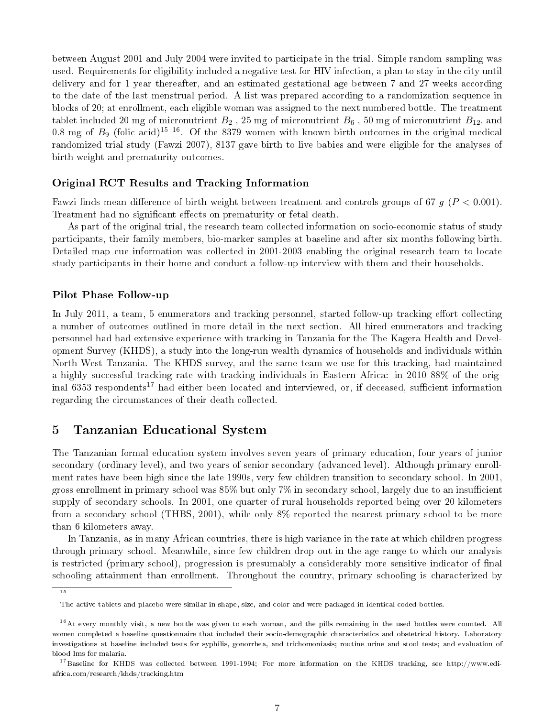between August 2001 and July 2004 were invited to participate in the trial. Simple random sampling was used. Requirements for eligibility included a negative test for HIV infection, a plan to stay in the city until delivery and for 1 year thereafter, and an estimated gestational age between 7 and 27 weeks according to the date of the last menstrual period. A list was prepared according to a randomization sequence in blocks of 20; at enrollment, each eligible woman was assigned to the next numbered bottle. The treatment tablet included 20 mg of micronutrient  $B_2$ , 25 mg of micronutrient  $B_6$ , 50 mg of micronutrient  $B_{12}$ , and 0.8 mg of  $B_9$  (folic acid)<sup>15-16</sup>. Of the 8379 women with known birth outcomes in the original medical randomized trial study (Fawzi 2007), 8137 gave birth to live babies and were eligible for the analyses of birth weight and prematurity outcomes.

### Original RCT Results and Tracking Information

Fawzi finds mean difference of birth weight between treatment and controls groups of 67  $q$  ( $P < 0.001$ ). Treatment had no significant effects on prematurity or fetal death.

As part of the original trial, the research team collected information on socio-economic status of study participants, their family members, bio-marker samples at baseline and after six months following birth. Detailed map cue information was collected in 2001-2003 enabling the original research team to locate study participants in their home and conduct a follow-up interview with them and their households.

### Pilot Phase Follow-up

In July 2011, a team, 5 enumerators and tracking personnel, started follow-up tracking effort collecting a number of outcomes outlined in more detail in the next section. All hired enumerators and tracking personnel had had extensive experience with tracking in Tanzania for the The Kagera Health and Development Survey (KHDS), a study into the long-run wealth dynamics of households and individuals within North West Tanzania. The KHDS survey, and the same team we use for this tracking, had maintained a highly successful tracking rate with tracking individuals in Eastern Africa: in 2010 88% of the original 6353 respondents<sup>17</sup> had either been located and interviewed, or, if deceased, sufficient information regarding the circumstances of their death collected.

# 5 Tanzanian Educational System

The Tanzanian formal education system involves seven years of primary education, four years of junior secondary (ordinary level), and two years of senior secondary (advanced level). Although primary enrollment rates have been high since the late 1990s, very few children transition to secondary school. In 2001, gross enrollment in primary school was  $85\%$  but only 7% in secondary school, largely due to an insufficient supply of secondary schools. In 2001, one quarter of rural households reported being over 20 kilometers from a secondary school (THBS, 2001), while only 8% reported the nearest primary school to be more than 6 kilometers away.

In Tanzania, as in many African countries, there is high variance in the rate at which children progress through primary school. Meanwhile, since few children drop out in the age range to which our analysis is restricted (primary school), progression is presumably a considerably more sensitive indicator of final schooling attainment than enrollment. Throughout the country, primary schooling is characterized by

<sup>15</sup>

The active tablets and placebo were similar in shape, size, and color and were packaged in identical coded bottles.

 $16$  At every monthly visit, a new bottle was given to each woman, and the pills remaining in the used bottles were counted. All women completed a baseline questionnaire that included their socio-demographic characteristics and obstetrical history. Laboratory investigations at baseline included tests for syphilis, gonorrhea, and trichomoniasis; routine urine and stool tests; and evaluation of blood lms for malaria.

 $^{17}$ Baseline for KHDS was collected between 1991-1994; For more information on the KHDS tracking, see http://www.ediafrica.com/research/khds/tracking.htm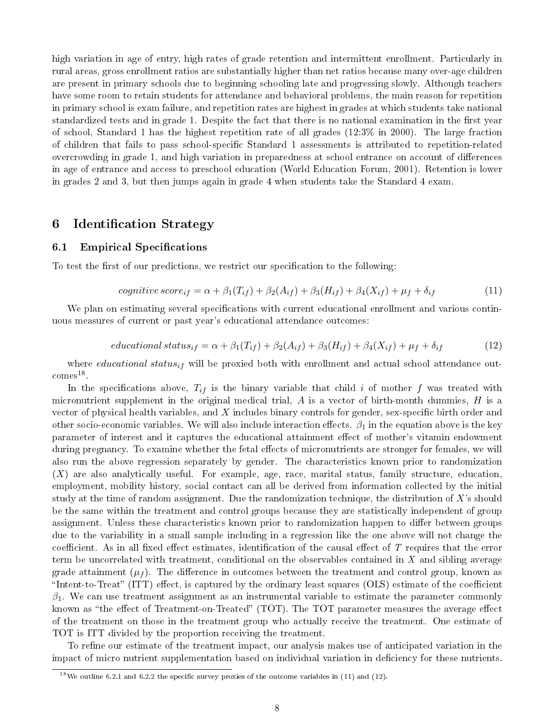high variation in age of entry, high rates of grade retention and intermittent enrollment. Particularly in rural areas, gross enrollment ratios are substantially higher than net ratios because many over-age children are present in primary schools due to beginning schooling late and progressing slowly. Although teachers have some room to retain students for attendance and behavioral problems, the main reason for repetition in primary school is exam failure, and repetition rates are highest in grades at which students take national standardized tests and in grade 1. Despite the fact that there is no national examination in the first year of school, Standard 1 has the highest repetition rate of all grades (12:3% in 2000). The large fraction of children that fails to pass school-specic Standard 1 assessments is attributed to repetition-related overcrowding in grade 1, and high variation in preparedness at school entrance on account of differences in age of entrance and access to preschool education (World Education Forum, 2001). Retention is lower in grades 2 and 3, but then jumps again in grade 4 when students take the Standard 4 exam.

# 6 Identification Strategy

### 6.1 Empirical Specifications

To test the first of our predictions, we restrict our specification to the following:

$$
cognitive score_{if} = \alpha + \beta_1(T_{if}) + \beta_2(A_{if}) + \beta_3(H_{if}) + \beta_4(X_{if}) + \mu_f + \delta_{if}
$$
\n(11)

We plan on estimating several specifications with current educational enrollment and various continuous measures of current or past year's educational attendance outcomes:

$$
educational status_{if} = \alpha + \beta_1(T_{if}) + \beta_2(A_{if}) + \beta_3(H_{if}) + \beta_4(X_{if}) + \mu_f + \delta_{if}
$$
\n(12)

where *educational* status<sub>if</sub> will be proxied both with enrollment and actual school attendance out- $\mathrm{comes}^{18}$ .

In the specifications above,  $T_{if}$  is the binary variable that child i of mother f was treated with micronutrient supplement in the original medical trial,  $A$  is a vector of birth-month dummies,  $H$  is a vector of physical health variables, and  $X$  includes binary controls for gender, sex-specific birth order and other socio-economic variables. We will also include interaction effects.  $\beta_1$  in the equation above is the key parameter of interest and it captures the educational attainment effect of mother's vitamin endowment during pregnancy. To examine whether the fetal effects of micronutrients are stronger for females, we will also run the above regression separately by gender. The characteristics known prior to randomization  $(X)$  are also analytically useful. For example, age, race, marital status, family structure, education, employment, mobility history, social contact can all be derived from information collected by the initial study at the time of random assignment. Due the randomization technique, the distribution of  $X$ 's should be the same within the treatment and control groups because they are statistically independent of group assignment. Unless these characteristics known prior to randomization happen to differ between groups due to the variability in a small sample including in a regression like the one above will not change the coefficient. As in all fixed effect estimates, identification of the causal effect of  $T$  requires that the error term be uncorrelated with treatment, conditional on the observables contained in X and sibling average grade attainment  $(\mu_f)$ . The difference in outcomes between the treatment and control group, known as "Intent-to-Treat" (ITT) effect, is captured by the ordinary least squares (OLS) estimate of the coefficient  $\beta_1$ . We can use treatment assignment as an instrumental variable to estimate the parameter commonly known as "the effect of Treatment-on-Treated" (TOT). The TOT parameter measures the average effect of the treatment on those in the treatment group who actually receive the treatment. One estimate of TOT is ITT divided by the proportion receiving the treatment.

To refine our estimate of the treatment impact, our analysis makes use of anticipated variation in the impact of micro nutrient supplementation based on individual variation in deciency for these nutrients.

<sup>&</sup>lt;sup>18</sup>We outline 6.2.1 and 6.2.2 the specific survey proxies of the outcome variables in (11) and (12).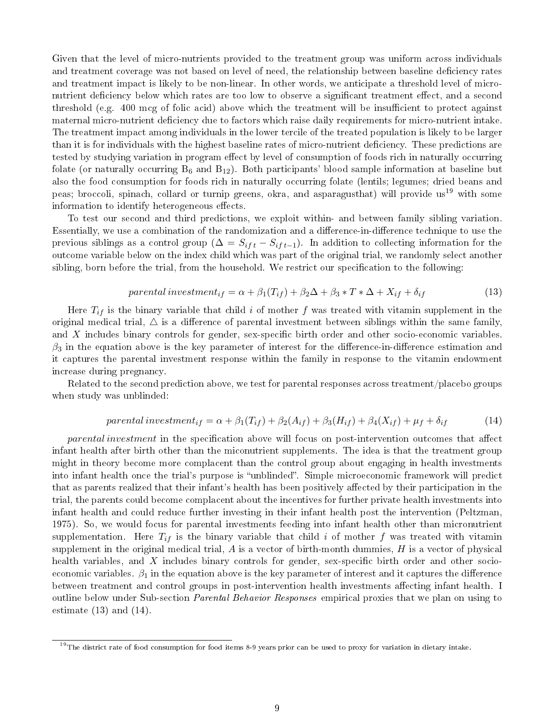Given that the level of micro-nutrients provided to the treatment group was uniform across individuals and treatment coverage was not based on level of need, the relationship between baseline deficiency rates and treatment impact is likely to be non-linear. In other words, we anticipate a threshold level of micronutrient deficiency below which rates are too low to observe a significant treatment effect, and a second threshold (e.g. 400 mcg of folic acid) above which the treatment will be insufficient to protect against maternal micro-nutrient deficiency due to factors which raise daily requirements for micro-nutrient intake. The treatment impact among individuals in the lower tercile of the treated population is likely to be larger than it is for individuals with the highest baseline rates of micro-nutrient deficiency. These predictions are tested by studying variation in program effect by level of consumption of foods rich in naturally occurring folate (or naturally occurring  $B_6$  and  $B_{12}$ ). Both participants' blood sample information at baseline but also the food consumption for foods rich in naturally occurring folate (lentils; legumes; dried beans and peas; broccoli, spinach, collard or turnip greens, okra, and asparagusthat) will provide us<sup>19</sup> with some information to identify heterogeneous effects.

To test our second and third predictions, we exploit within- and between family sibling variation. Essentially, we use a combination of the randomization and a difference-in-difference technique to use the previous siblings as a control group ( $\Delta = S_{if}t - S_{if}t-1$ ). In addition to collecting information for the outcome variable below on the index child which was part of the original trial, we randomly select another sibling, born before the trial, from the household. We restrict our specification to the following:

$$
parental\,insetment_{if} = \alpha + \beta_1(T_{if}) + \beta_2 \Delta + \beta_3 * T * \Delta + X_{if} + \delta_{if}
$$
\n(13)

Here  $T_{if}$  is the binary variable that child i of mother f was treated with vitamin supplement in the original medical trial,  $\Delta$  is a difference of parental investment between siblings within the same family. and  $X$  includes binary controls for gender, sex-specific birth order and other socio-economic variables.  $\beta_3$  in the equation above is the key parameter of interest for the difference-in-difference estimation and it captures the parental investment response within the family in response to the vitamin endowment increase during pregnancy.

Related to the second prediction above, we test for parental responses across treatment/placebo groups when study was unblinded:

$$
parental\,inestment_{if} = \alpha + \beta_1(T_{if}) + \beta_2(A_{if}) + \beta_3(H_{if}) + \beta_4(X_{if}) + \mu_f + \delta_{if}
$$
\n(14)

parental investment in the specification above will focus on post-intervention outcomes that affect infant health after birth other than the miconutrient supplements. The idea is that the treatment group might in theory become more complacent than the control group about engaging in health investments into infant health once the trial's purpose is "unblinded". Simple microeconomic framework will predict that as parents realized that their infant's health has been positively affected by their participation in the trial, the parents could become complacent about the incentives for further private health investments into infant health and could reduce further investing in their infant health post the intervention (Peltzman, 1975). So, we would focus for parental investments feeding into infant health other than micronutrient supplementation. Here  $T_{if}$  is the binary variable that child i of mother f was treated with vitamin supplement in the original medical trial,  $A$  is a vector of birth-month dummies,  $H$  is a vector of physical health variables, and  $X$  includes binary controls for gender, sex-specific birth order and other socioeconomic variables.  $\beta_1$  in the equation above is the key parameter of interest and it captures the difference between treatment and control groups in post-intervention health investments affecting infant health. I outline below under Sub-section Parental Behavior Responses empirical proxies that we plan on using to estimate  $(13)$  and  $(14)$ .

 $19$ The district rate of food consumption for food items 8-9 years prior can be used to proxy for variation in dietary intake.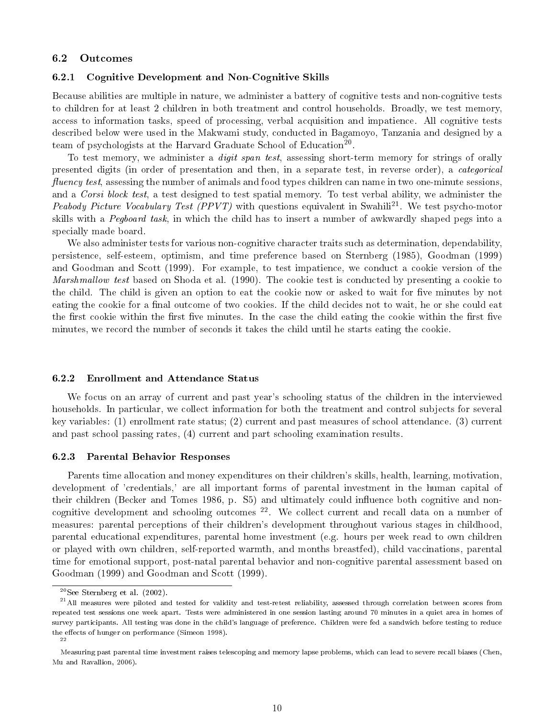#### 6.2 Outcomes

#### 6.2.1 Cognitive Development and Non-Cognitive Skills

Because abilities are multiple in nature, we administer a battery of cognitive tests and non-cognitive tests to children for at least 2 children in both treatment and control households. Broadly, we test memory, access to information tasks, speed of processing, verbal acquisition and impatience. All cognitive tests described below were used in the Makwami study, conducted in Bagamoyo, Tanzania and designed by a team of psychologists at the Harvard Graduate School of Education<sup>20</sup>.

To test memory, we administer a *digit span test*, assessing short-term memory for strings of orally presented digits (in order of presentation and then, in a separate test, in reverse order), a categorical fluency test, assessing the number of animals and food types children can name in two one-minute sessions, and a Corsi block test, a test designed to test spatial memory. To test verbal ability, we administer the Peabody Picture Vocabulary Test (PPVT) with questions equivalent in Swahili<sup>21</sup>. We test psycho-motor skills with a Pegboard task, in which the child has to insert a number of awkwardly shaped pegs into a specially made board.

We also administer tests for various non-cognitive character traits such as determination, dependability, persistence, self-esteem, optimism, and time preference based on Sternberg (1985), Goodman (1999) and Goodman and Scott (1999). For example, to test impatience, we conduct a cookie version of the Marshmallow test based on Shoda et al. (1990). The cookie test is conducted by presenting a cookie to the child. The child is given an option to eat the cookie now or asked to wait for five minutes by not eating the cookie for a final outcome of two cookies. If the child decides not to wait, he or she could eat the first cookie within the first five minutes. In the case the child eating the cookie within the first five minutes, we record the number of seconds it takes the child until he starts eating the cookie.

### 6.2.2 Enrollment and Attendance Status

We focus on an array of current and past year's schooling status of the children in the interviewed households. In particular, we collect information for both the treatment and control subjects for several key variables: (1) enrollment rate status; (2) current and past measures of school attendance. (3) current and past school passing rates, (4) current and part schooling examination results.

### 6.2.3 Parental Behavior Responses

Parents time allocation and money expenditures on their children's skills, health, learning, motivation, development of 'credentials,' are all important forms of parental investment in the human capital of their children (Becker and Tomes 1986, p. S5) and ultimately could influence both cognitive and noncognitive development and schooling outcomes  $22$ . We collect current and recall data on a number of measures: parental perceptions of their children's development throughout various stages in childhood, parental educational expenditures, parental home investment (e.g. hours per week read to own children or played with own children, self-reported warmth, and months breastfed), child vaccinations, parental time for emotional support, post-natal parental behavior and non-cognitive parental assessment based on Goodman (1999) and Goodman and Scott (1999).

 $20$ See Sternberg et al. (2002).

 $^{21}$  All measures were piloted and tested for validity and test-retest reliability, assessed through correlation between scores from repeated test sessions one week apart. Tests were administered in one session lasting around 70 minutes in a quiet area in homes of survey participants. All testing was done in the child's language of preference. Children were fed a sandwich before testing to reduce the effects of hunger on performance (Simeon 1998). 22

Measuring past parental time investment raises telescoping and memory lapse problems, which can lead to severe recall biases (Chen, Mu and Ravallion, 2006).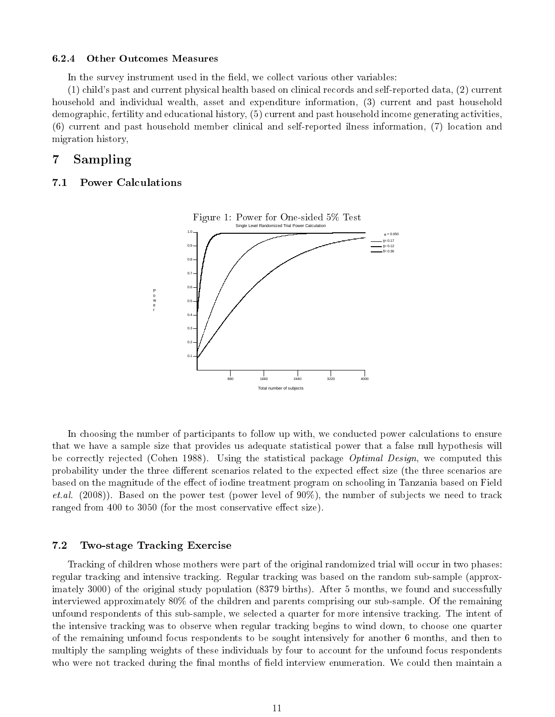#### 6.2.4 Other Outcomes Measures

In the survey instrument used in the field, we collect various other variables:

(1) child's past and current physical health based on clinical records and self-reported data, (2) current household and individual wealth, asset and expenditure information, (3) current and past household demographic, fertility and educational history, (5) current and past household income generating activities, (6) current and past household member clinical and self-reported ilness information, (7) location and migration history,

# 7 Sampling

### 7.1 Power Calculations



In choosing the number of participants to follow up with, we conducted power calculations to ensure that we have a sample size that provides us adequate statistical power that a false null hypothesis will be correctly rejected (Cohen 1988). Using the statistical package *Optimal Design*, we computed this probability under the three different scenarios related to the expected effect size (the three scenarios are based on the magnitude of the effect of iodine treatment program on schooling in Tanzania based on Field *et.al.* (2008)). Based on the power test (power level of  $90\%$ ), the number of subjects we need to track ranged from 400 to 3050 (for the most conservative effect size).

### 7.2 Two-stage Tracking Exercise

Tracking of children whose mothers were part of the original randomized trial will occur in two phases: regular tracking and intensive tracking. Regular tracking was based on the random sub-sample (approximately 3000) of the original study population (8379 births). After 5 months, we found and successfully interviewed approximately 80% of the children and parents comprising our sub-sample. Of the remaining unfound respondents of this sub-sample, we selected a quarter for more intensive tracking. The intent of the intensive tracking was to observe when regular tracking begins to wind down, to choose one quarter of the remaining unfound focus respondents to be sought intensively for another 6 months, and then to multiply the sampling weights of these individuals by four to account for the unfound focus respondents who were not tracked during the final months of field interview enumeration. We could then maintain a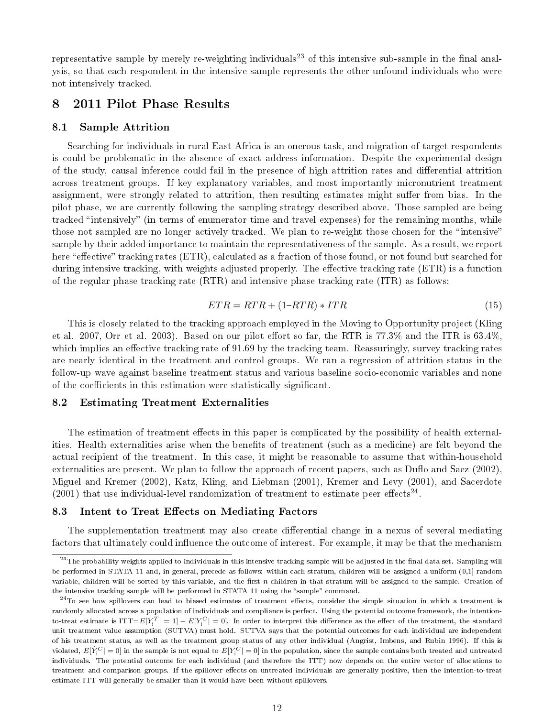representative sample by merely re-weighting individuals<sup>23</sup> of this intensive sub-sample in the final analysis, so that each respondent in the intensive sample represents the other unfound individuals who were not intensively tracked.

# 8 2011 Pilot Phase Results

### 8.1 Sample Attrition

Searching for individuals in rural East Africa is an onerous task, and migration of target respondents is could be problematic in the absence of exact address information. Despite the experimental design of the study, causal inference could fail in the presence of high attrition rates and dierential attrition across treatment groups. If key explanatory variables, and most importantly micronutrient treatment assignment, were strongly related to attrition, then resulting estimates might suffer from bias. In the pilot phase, we are currently following the sampling strategy described above. Those sampled are being tracked "intensively" (in terms of enumerator time and travel expenses) for the remaining months, while those not sampled are no longer actively tracked. We plan to re-weight those chosen for the "intensive" sample by their added importance to maintain the representativeness of the sample. As a result, we report here "effective" tracking rates (ETR), calculated as a fraction of those found, or not found but searched for during intensive tracking, with weights adjusted properly. The effective tracking rate (ETR) is a function of the regular phase tracking rate (RTR) and intensive phase tracking rate (ITR) as follows:

$$
ETR = RTR + (1 - RTR) * ITR \tag{15}
$$

This is closely related to the tracking approach employed in the Moving to Opportunity project (Kling et al. 2007, Orr et al. 2003). Based on our pilot effort so far, the RTR is  $77.3\%$  and the ITR is  $63.4\%$ , which implies an effective tracking rate of 91.69 by the tracking team. Reassuringly, survey tracking rates are nearly identical in the treatment and control groups. We ran a regression of attrition status in the follow-up wave against baseline treatment status and various baseline socio-economic variables and none of the coefficients in this estimation were statistically significant.

### 8.2 Estimating Treatment Externalities

The estimation of treatment effects in this paper is complicated by the possibility of health externalities. Health externalities arise when the benefits of treatment (such as a medicine) are felt beyond the actual recipient of the treatment. In this case, it might be reasonable to assume that within-household externalities are present. We plan to follow the approach of recent papers, such as Duflo and Saez  $(2002)$ , Miguel and Kremer (2002), Katz, Kling, and Liebman (2001), Kremer and Levy (2001), and Sacerdote  $(2001)$  that use individual-level randomization of treatment to estimate peer effects<sup>24</sup>.

### 8.3 Intent to Treat Effects on Mediating Factors

The supplementation treatment may also create differential change in a nexus of several mediating factors that ultimately could influence the outcome of interest. For example, it may be that the mechanism

 $^{23}\rm{The}$  probability weights applied to individuals in this intensive tracking sample will be adjusted in the final data set. Sampling will be performed in STATA 11 and, in general, precede as follows: within each stratum, children will be assigned a uniform (0,1] random variable, children will be sorted by this variable, and the first  $n$  children in that stratum will be assigned to the sample. Creation of the intensive tracking sample will be performed in STATA 11 using the "sample" command.

 $^{24}$ To see how spillovers can lead to biased estimates of treatment effects, consider the simple situation in which a treatment is randomly allocated across a population of individuals and compliance is perfect. Using the potential outcome framework, the intentionto-treat estimate is ITT= $E[Y^T_i] = 1] - E[Y^C_i] = 0$ ]. In order to interpret this difference as the effect of the treatment, the standard unit treatment value assumption (SUTVA) must hold. SUTVA says that the potential outcomes for each individual are independent of his treatment status, as well as the treatment group status of any other individual (Angrist, Imbens, and Rubin 1996). If this is violated,  $E[\hat{Y}_\text{i}^C]=0]$  in the sample is not equal to  $E[Y_\text{i}^C]=0]$  in the population, since the sample contains both treated and untreated individuals. The potential outcome for each individual (and therefore the ITT) now depends on the entire vector of allocations to treatment and comparison groups. If the spillover effects on untreated individuals are generally positive, then the intention-to-treat estimate ITT will generally be smaller than it would have been without spillovers.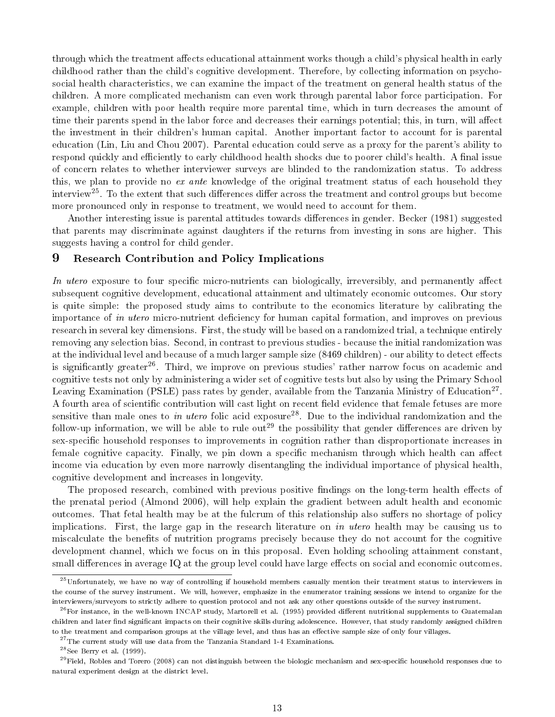through which the treatment affects educational attainment works though a child's physical health in early childhood rather than the child's cognitive development. Therefore, by collecting information on psychosocial health characteristics, we can examine the impact of the treatment on general health status of the children. A more complicated mechanism can even work through parental labor force participation. For example, children with poor health require more parental time, which in turn decreases the amount of time their parents spend in the labor force and decreases their earnings potential; this, in turn, will affect the investment in their children's human capital. Another important factor to account for is parental education (Lin, Liu and Chou 2007). Parental education could serve as a proxy for the parent's ability to respond quickly and efficiently to early childhood health shocks due to poorer child's health. A final issue of concern relates to whether interviewer surveys are blinded to the randomization status. To address this, we plan to provide no ex ante knowledge of the original treatment status of each household they interview<sup>25</sup>. To the extent that such differences differ across the treatment and control groups but become more pronounced only in response to treatment, we would need to account for them.

Another interesting issue is parental attitudes towards differences in gender. Becker (1981) suggested that parents may discriminate against daughters if the returns from investing in sons are higher. This suggests having a control for child gender.

### 9 Research Contribution and Policy Implications

In utero exposure to four specific micro-nutrients can biologically, irreversibly, and permanently affect subsequent cognitive development, educational attainment and ultimately economic outcomes. Our story is quite simple: the proposed study aims to contribute to the economics literature by calibrating the importance of in utero micro-nutrient deficiency for human capital formation, and improves on previous research in several key dimensions. First, the study will be based on a randomized trial, a technique entirely removing any selection bias. Second, in contrast to previous studies - because the initial randomization was at the individual level and because of a much larger sample size (8469 children) - our ability to detect effects is significantly greater<sup>26</sup>. Third, we improve on previous studies' rather narrow focus on academic and cognitive tests not only by administering a wider set of cognitive tests but also by using the Primary School Leaving Examination (PSLE) pass rates by gender, available from the Tanzania Ministry of Education<sup>27</sup>. A fourth area of scientific contribution will cast light on recent field evidence that female fetuses are more sensitive than male ones to in utero folic acid exposure<sup>28</sup>. Due to the individual randomization and the follow-up information, we will be able to rule out<sup>29</sup> the possibility that gender differences are driven by sex-specific household responses to improvements in cognition rather than disproportionate increases in female cognitive capacity. Finally, we pin down a specific mechanism through which health can affect income via education by even more narrowly disentangling the individual importance of physical health, cognitive development and increases in longevity.

The proposed research, combined with previous positive findings on the long-term health effects of the prenatal period (Almond 2006), will help explain the gradient between adult health and economic outcomes. That fetal health may be at the fulcrum of this relationship also suffers no shortage of policy implications. First, the large gap in the research literature on in utero health may be causing us to miscalculate the benefits of nutrition programs precisely because they do not account for the cognitive development channel, which we focus on in this proposal. Even holding schooling attainment constant, small differences in average IQ at the group level could have large effects on social and economic outcomes.

<sup>&</sup>lt;sup>25</sup>Unfortunately, we have no way of controlling if household members casually mention their treatment status to interviewers in the course of the survey instrument. We will, however, emphasize in the enumerator training sessions we intend to organize for the interviewers/surveyors to strictly adhere to question protocol and not ask any other questions outside of the survey instrument.

 $^{26}$  For instance, in the well-known INCAP study, Martorell et al. (1995) provided different nutritional supplements to Guatemalan children and later find significant impacts on their cognitive skills during adolescence. However, that study randomly assigned children to the treatment and comparison groups at the village level, and thus has an effective sample size of only four villages.

 $^{27}$ The current study will use data from the Tanzania Standard 1-4 Examinations.

 $^{28}$ See Berry et al. (1999).

 $^{29}$ Field, Robles and Torero (2008) can not distinguish between the biologic mechanism and sex-specific household responses due to natural experiment design at the district level.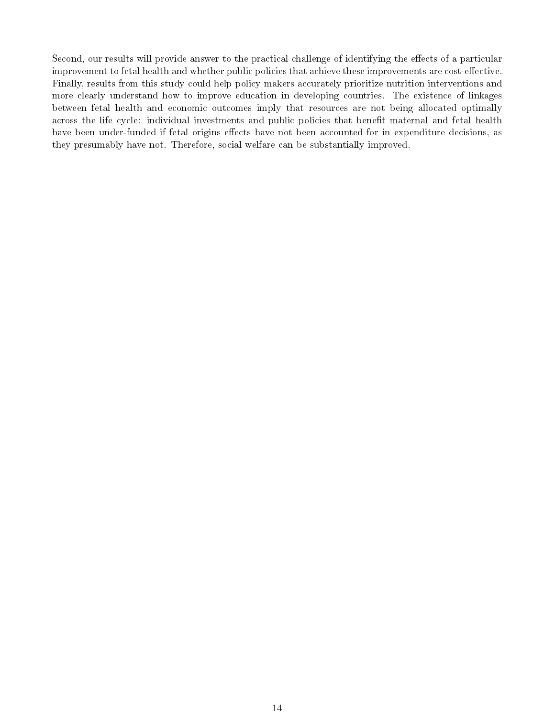Second, our results will provide answer to the practical challenge of identifying the effects of a particular improvement to fetal health and whether public policies that achieve these improvements are cost-effective. Finally, results from this study could help policy makers accurately prioritize nutrition interventions and more clearly understand how to improve education in developing countries. The existence of linkages between fetal health and economic outcomes imply that resources are not being allocated optimally across the life cycle: individual investments and public policies that benefit maternal and fetal health have been under-funded if fetal origins effects have not been accounted for in expenditure decisions, as they presumably have not. Therefore, social welfare can be substantially improved.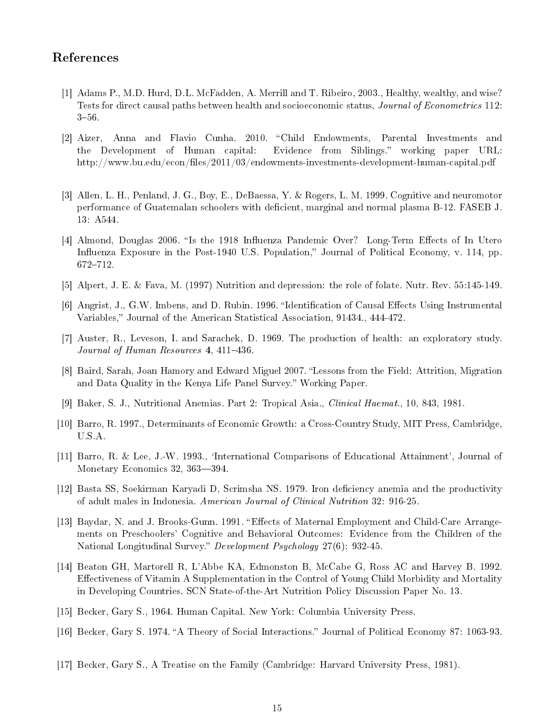## References

- [1] Adams P., M.D. Hurd, D.L. McFadden, A. Merrill and T. Ribeiro, 2003., Healthy, wealthy, and wise? Tests for direct causal paths between health and socioeconomic status, Journal of Econometrics 112:  $3 - 56$ .
- [2] Aizer, Anna and Flavio Cunha. 2010. "Child Endowments, Parental Investments and the Development of Human capital: Evidence from Siblings. working paper URL: http://www.bu.edu/econ/files/2011/03/endowments-investments-development-human-capital.pdf
- [3] Allen, L. H., Penland, J. G., Boy, E., DeBaessa, Y. & Rogers, L. M. 1999. Cognitive and neuromotor performance of Guatemalan schoolers with deficient, marginal and normal plasma B-12. FASEB J. 13: A544.
- [4] Almond, Douglas 2006. "Is the 1918 Influenza Pandemic Over? Long-Term Effects of In Utero Influenza Exposure in the Post-1940 U.S. Population," Journal of Political Economy, v. 114, pp. 672–712.
- [5] Alpert, J. E. & Fava, M. (1997) Nutrition and depression: the role of folate. Nutr. Rev. 55:145-149.
- [6] Angrist, J., G.W. Imbens, and D. Rubin. 1996. "Identification of Causal Effects Using Instrumental Variables," Journal of the American Statistical Association, 91434., 444-472.
- [7] Auster, R., Leveson, I. and Sarachek, D. 1969. The production of health: an exploratory study. Journal of Human Resources  $4, 411-436$ .
- [8] Baird, Sarah, Joan Hamory and Edward Miguel 2007. "Lessons from the Field: Attrition, Migration and Data Quality in the Kenya Life Panel Survey." Working Paper.
- [9] Baker, S. J., Nutritional Anemias. Part 2: Tropical Asia., Clinical Haemat., 10, 843, 1981.
- [10] Barro, R. 1997., Determinants of Economic Growth: a Cross-Country Study, MIT Press, Cambridge, U.S.A.
- [11] Barro, R. & Lee, J.-W. 1993., `International Comparisons of Educational Attainment', Journal of Monetary Economics 32, 363-394.
- [12] Basta SS, Soekirman Karyadi D, Scrimsha NS. 1979. Iron deciency anemia and the productivity of adult males in Indonesia. American Journal of Clinical Nutrition 32: 916-25.
- [13] Baydar, N. and J. Brooks-Gunn. 1991. "Effects of Maternal Employment and Child-Care Arrangements on Preschoolers' Cognitive and Behavioral Outcomes: Evidence from the Children of the National Longitudinal Survey." Development Psychology 27(6): 932-45.
- [14] Beaton GH, Martorell R, L'Abbe KA, Edmonston B, McCabe G, Ross AC and Harvey B. 1992. Effectiveness of Vitamin A Supplementation in the Control of Young Child Morbidity and Mortality in Developing Countries. SCN State-of-the-Art Nutrition Policy Discussion Paper No. 13.
- [15] Becker, Gary S., 1964. Human Capital. New York: Columbia University Press.
- [16] Becker, Gary S. 1974. "A Theory of Social Interactions." Journal of Political Economy 87: 1063-93.
- [17] Becker, Gary S., A Treatise on the Family (Cambridge: Harvard University Press, 1981).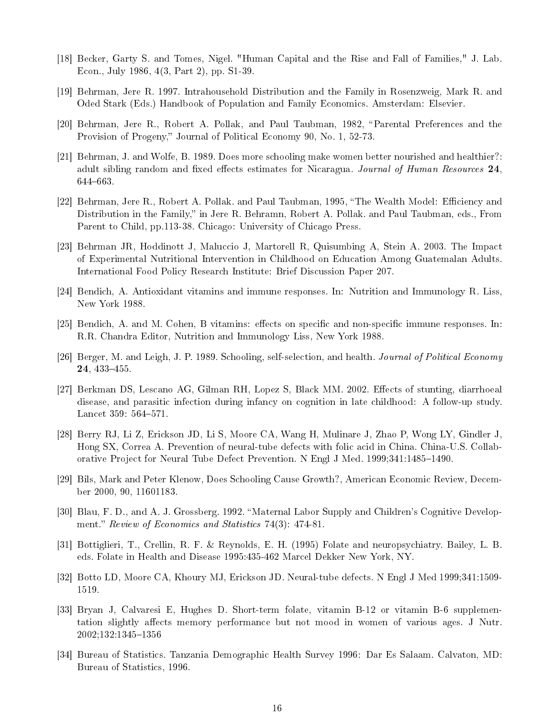- [18] Becker, Garty S. and Tomes, Nigel. "Human Capital and the Rise and Fall of Families," J. Lab. Econ., July 1986, 4(3, Part 2), pp. S1-39.
- [19] Behrman, Jere R. 1997. Intrahousehold Distribution and the Family in Rosenzweig, Mark R. and Oded Stark (Eds.) Handbook of Population and Family Economics. Amsterdam: Elsevier.
- [20] Behrman, Jere R., Robert A. Pollak, and Paul Taubman, 1982, "Parental Preferences and the Provision of Progeny," Journal of Political Economy 90, No. 1, 52-73.
- [21] Behrman, J. and Wolfe, B. 1989. Does more schooling make women better nourished and healthier?: adult sibling random and fixed effects estimates for Nicaragua. Journal of Human Resources 24. 644663.
- [22] Behrman, Jere R., Robert A. Pollak. and Paul Taubman, 1995, "The Wealth Model: Efficiency and Distribution in the Family," in Jere R. Behramn, Robert A. Pollak. and Paul Taubman, eds., From Parent to Child, pp.113-38. Chicago: University of Chicago Press.
- [23] Behrman JR, Hoddinott J, Maluccio J, Martorell R, Quisumbing A, Stein A. 2003. The Impact of Experimental Nutritional Intervention in Childhood on Education Among Guatemalan Adults. International Food Policy Research Institute: Brief Discussion Paper 207.
- [24] Bendich, A. Antioxidant vitamins and immune responses. In: Nutrition and Immunology R. Liss, New York 1988.
- $[25]$  Bendich, A. and M. Cohen, B vitamins: effects on specific and non-specific immune responses. In: R.R. Chandra Editor, Nutrition and Immunology Liss, New York 1988.
- [26] Berger, M. and Leigh, J. P. 1989. Schooling, self-selection, and health. Journal of Political Economy 24, 433-455.
- [27] Berkman DS, Lescano AG, Gilman RH, Lopez S, Black MM, 2002. Effects of stunting, diarrhoeal disease, and parasitic infection during infancy on cognition in late childhood: A follow-up study. Lancet 359: 564-571.
- [28] Berry RJ, Li Z, Erickson JD, Li S, Moore CA, Wang H, Mulinare J, Zhao P, Wong LY, Gindler J, Hong SX, Correa A. Prevention of neural-tube defects with folic acid in China. China-U.S. Collaborative Project for Neural Tube Defect Prevention. N Engl J Med. 1999;341:1485–1490.
- [29] Bils, Mark and Peter Klenow, Does Schooling Cause Growth?, American Economic Review, December 2000, 90, 11601183.
- [30] Blau, F. D., and A. J. Grossberg. 1992. "Maternal Labor Supply and Children's Cognitive Development." Review of Economics and Statistics 74(3): 474-81.
- [31] Bottiglieri, T., Crellin, R. F. & Reynolds, E. H. (1995) Folate and neuropsychiatry. Bailey, L. B. eds. Folate in Health and Disease 1995:435-462 Marcel Dekker New York, NY.
- [32] Botto LD, Moore CA, Khoury MJ, Erickson JD. Neural-tube defects. N Engl J Med 1999;341:1509- 1519.
- [33] Bryan J, Calvaresi E, Hughes D. Short-term folate, vitamin B-12 or vitamin B-6 supplementation slightly affects memory performance but not mood in women of various ages. J Nutr. 2002;132:1345-1356
- [34] Bureau of Statistics. Tanzania Demographic Health Survey 1996: Dar Es Salaam. Calvaton, MD: Bureau of Statistics, 1996.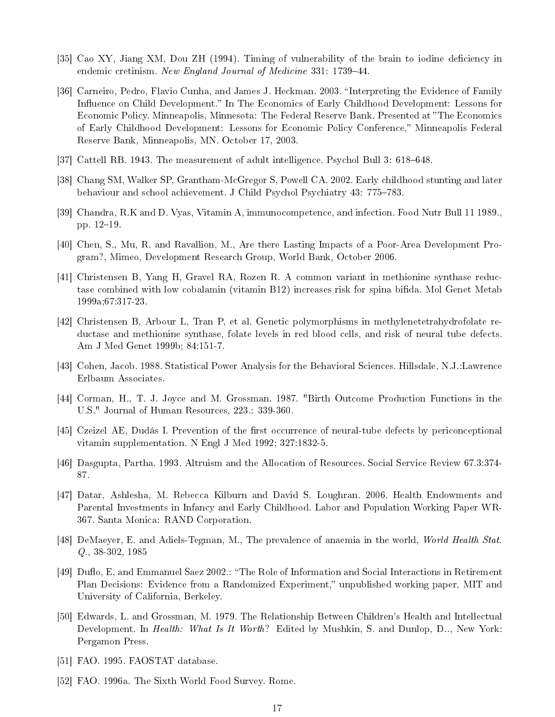- [35] Cao XY, Jiang XM, Dou ZH (1994). Timing of vulnerability of the brain to iodine deficiency in endemic cretinism. New England Journal of Medicine 331: 1739-44.
- [36] Carneiro, Pedro, Flavio Cunha, and James J. Heckman. 2003. "Interpreting the Evidence of Family Influence on Child Development." In The Economics of Early Childhood Development: Lessons for Economic Policy. Minneapolis, Minnesota: The Federal Reserve Bank. Presented at "The Economics" of Early Childhood Development: Lessons for Economic Policy Conference," Minneapolis Federal Reserve Bank, Minneapolis, MN. October 17, 2003.
- [37] Cattell RB. 1943. The measurement of adult intelligence. Psychol Bull 3: 618–648.
- [38] Chang SM, Walker SP, Grantham-McGregor S, Powell CA. 2002. Early childhood stunting and later behaviour and school achievement. J Child Psychol Psychiatry 43: 775–783.
- [39] Chandra, R.K and D. Vyas, Vitamin A, immunocompetence, and infection. Food Nutr Bull 11 1989., pp. 12-19.
- [40] Chen, S., Mu, R. and Ravallion, M., Are there Lasting Impacts of a Poor-Area Development Program?, Mimeo, Development Research Group, World Bank, October 2006.
- [41] Christensen B, Yang H, Gravel RA, Rozen R. A common variant in methionine synthase reductase combined with low cobalamin (vitamin B12) increases risk for spina bida. Mol Genet Metab 1999a;67:317-23.
- [42] Christensen B, Arbour L, Tran P, et al. Genetic polymorphisms in methylenetetrahydrofolate reductase and methionine synthase, folate levels in red blood cells, and risk of neural tube defects. Am J Med Genet 1999b; 84:151-7.
- [43] Cohen, Jacob. 1988. Statistical Power Analysis for the Behavioral Sciences. Hillsdale, N.J.:Lawrence Erlbaum Associates.
- [44] Corman, H., T. J. Joyce and M. Grossman. 1987. "Birth Outcome Production Functions in the U.S." Journal of Human Resources, 223.: 339-360.
- [45] Czeizel AE, Dudás I. Prevention of the first occurrence of neural-tube defects by periconceptional vitamin supplementation. N Engl J Med 1992; 327:1832-5.
- [46] Dasgupta, Partha. 1993. Altruism and the Allocation of Resources. Social Service Review 67.3:374- 87.
- [47] Datar, Ashlesha, M. Rebecca Kilburn and David S. Loughran. 2006. Health Endowments and Parental Investments in Infancy and Early Childhood. Labor and Population Working Paper WR-367. Santa Monica: RAND Corporation.
- [48] DeMaeyer, E. and Adiels-Tegman, M., The prevalence of anaemia in the world, World Health Stat. Q., 38-302, 1985
- [49] Duflo, E, and Emmanuel Saez 2002.: "The Role of Information and Social Interactions in Retirement Plan Decisions: Evidence from a Randomized Experiment," unpublished working paper, MIT and University of California, Berkeley.
- [50] Edwards, L. and Grossman, M. 1979. The Relationship Between Children's Health and Intellectual Development. In *Health: What Is It Worth*? Edited by Mushkin, S. and Dunlop, D.., New York: Pergamon Press.
- [51] FAO. 1995. FAOSTAT database.
- [52] FAO. 1996a. The Sixth World Food Survey. Rome.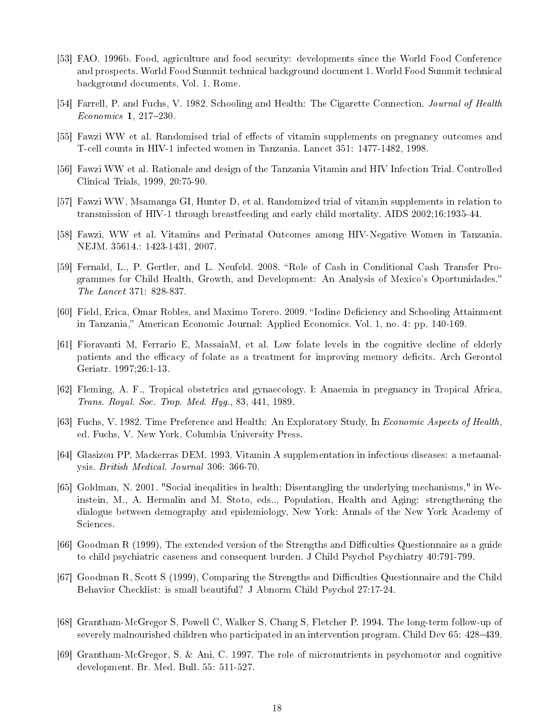- [53] FAO. 1996b. Food, agriculture and food security: developments since the World Food Conference and prospects. World Food Summit technical background document 1. World Food Summit technical background documents, Vol. 1. Rome.
- [54] Farrell, P. and Fuchs, V. 1982. Schooling and Health: The Cigarette Connection. Journal of Health  $Economics\ 1, 217-230.$
- [55] Fawzi WW et al. Randomised trial of effects of vitamin supplements on pregnancy outcomes and T-cell counts in HIV-1 infected women in Tanzania. Lancet 351: 1477-1482, 1998.
- [56] Fawzi WW et al. Rationale and design of the Tanzania Vitamin and HIV Infection Trial. Controlled Clinical Trials, 1999, 20:75-90.
- [57] Fawzi WW, Msamanga GI, Hunter D, et al. Randomized trial of vitamin supplements in relation to transmission of HIV-1 through breastfeeding and early child mortality. AIDS 2002;16:1935-44.
- [58] Fawzi, WW et al. Vitamins and Perinatal Outcomes among HIV-Negative Women in Tanzania. NEJM. 35614.: 1423-1431, 2007.
- [59] Fernald, L., P. Gertler, and L. Neufeld. 2008. Role of Cash in Conditional Cash Transfer Programmes for Child Health, Growth, and Development: An Analysis of Mexico's Oportunidades. The Lancet 371: 828-837.
- [60] Field, Erica, Omar Robles, and Maximo Torero. 2009. "Iodine Deficiency and Schooling Attainment in Tanzania," American Economic Journal: Applied Economics. Vol. 1, no. 4: pp. 140-169.
- [61] Fioravanti M, Ferrario E, MassaiaM, et al. Low folate levels in the cognitive decline of elderly patients and the efficacy of folate as a treatment for improving memory deficits. Arch Gerontol Geriatr. 1997;26:1-13.
- [62] Fleming, A. F., Tropical obstetrics and gynaecology. I: Anaemia in pregnancy in Tropical Africa, Trans. Royal. Soc. Trop. Med. Hyg., 83, 441, 1989.
- [63] Fuchs, V. 1982. Time Preference and Health: An Exploratory Study, In Economic Aspects of Health, ed. Fuchs, V. New York, Columbia University Press.
- [64] Glasizou PP, Mackerras DEM. 1993. Vitamin A supplementation in infectious diseases: a metaanalysis. British Medical. Journal 306: 366-70.
- [65] Goldman, N. 2001. "Social ineqalities in health: Disentangling the underlying mechanisms," in Weinstein, M., A. Hermalin and M. Stoto, eds.., Population, Health and Aging: strengthening the dialogue between demography and epidemiology, New York: Annals of the New York Academy of Sciences.
- [66] Goodman R (1999), The extended version of the Strengths and Difficulties Questionnaire as a guide to child psychiatric caseness and consequent burden. J Child Psychol Psychiatry 40:791-799.
- [67] Goodman R, Scott S (1999), Comparing the Strengths and Difficulties Questionnaire and the Child Behavior Checklist: is small beautiful? J Abnorm Child Psychol 27:17-24.
- [68] Grantham-McGregor S, Powell C, Walker S, Chang S, Fletcher P. 1994. The long-term follow-up of severely malnourished children who participated in an intervention program. Child Dev 65: 428-439.
- [69] Grantham-McGregor, S. & Ani, C. 1997. The role of micronutrients in psychomotor and cognitive development. Br. Med. Bull. 55: 511-527.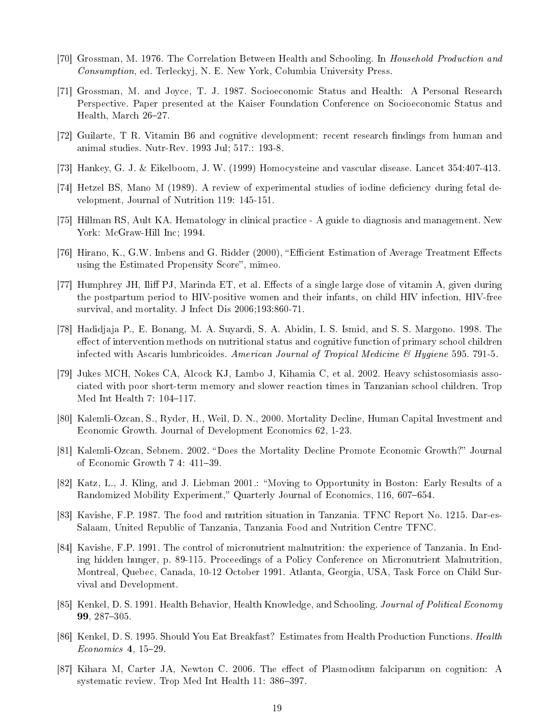- [70] Grossman, M. 1976. The Correlation Between Health and Schooling. In Household Production and Consumption, ed. Terleckyj, N. E. New York, Columbia University Press.
- [71] Grossman, M. and Joyce, T. J. 1987. Socioeconomic Status and Health: A Personal Research Perspective. Paper presented at the Kaiser Foundation Conference on Socioeconomic Status and Health, March 26-27.
- [72] Guilarte, T R. Vitamin B6 and cognitive development: recent research ndings from human and animal studies. Nutr-Rev. 1993 Jul; 517.: 193-8.
- [73] Hankey, G. J. & Eikelboom, J. W. (1999) Homocysteine and vascular disease. Lancet 354:407-413.
- [74] Hetzel BS, Mano M (1989). A review of experimental studies of iodine deciency during fetal development, Journal of Nutrition 119: 145-151.
- [75] Hillman RS, Ault KA. Hematology in clinical practice A guide to diagnosis and management. New York: McGraw-Hill Inc; 1994.
- [76] Hirano, K., G.W. Imbens and G. Ridder (2000), "Efficient Estimation of Average Treatment Effects using the Estimated Propensity Score", mimeo.
- [77] Humphrey JH, Iliff PJ, Marinda ET, et al. Effects of a single large dose of vitamin A, given during the postpartum period to HIV-positive women and their infants, on child HIV infection, HIV-free survival, and mortality. J Infect Dis 2006;193:860-71.
- [78] Hadidjaja P., E. Bonang, M. A. Suyardi, S. A. Abidin, I. S. Ismid, and S. S. Margono. 1998. The effect of intervention methods on nutritional status and cognitive function of primary school children infected with Ascaris lumbricoides. American Journal of Tropical Medicine  $\mathcal B$  Hygiene 595. 791-5.
- [79] Jukes MCH, Nokes CA, Alcock KJ, Lambo J, Kihamia C, et al. 2002. Heavy schistosomiasis associated with poor short-term memory and slower reaction times in Tanzanian school children. Trop Med Int Health 7:  $104-117$ .
- [80] Kalemli-Ozcan, S., Ryder, H., Weil, D. N., 2000. Mortality Decline, Human Capital Investment and Economic Growth. Journal of Development Economics 62, 1-23.
- [81] Kalemli-Ozcan, Sebnem. 2002. "Does the Mortality Decline Promote Economic Growth?" Journal of Economic Growth 7 4: 411-39.
- [82] Katz, L., J. Kling, and J. Liebman 2001.: Moving to Opportunity in Boston: Early Results of a Randomized Mobility Experiment," Quarterly Journal of Economics, 116, 607–654.
- [83] Kavishe, F.P. 1987. The food and nutrition situation in Tanzania. TFNC Report No. 1215. Dar-es-Salaam, United Republic of Tanzania, Tanzania Food and Nutrition Centre TFNC.
- [84] Kavishe, F.P. 1991. The control of micronutrient malnutrition: the experience of Tanzania. In Ending hidden hunger, p. 89-115. Proceedings of a Policy Conference on Micronutrient Malnutrition, Montreal, Quebec, Canada, 10-12 October 1991. Atlanta, Georgia, USA, Task Force on Child Survival and Development.
- [85] Kenkel, D. S. 1991. Health Behavior, Health Knowledge, and Schooling. Journal of Political Economy 99, 287-305.
- [86] Kenkel, D. S. 1995. Should You Eat Breakfast? Estimates from Health Production Functions. Health  $Economics\ 4, 15-29.$
- [87] Kihara M, Carter JA, Newton C. 2006. The effect of Plasmodium falciparum on cognition: A systematic review. Trop Med Int Health 11: 386-397.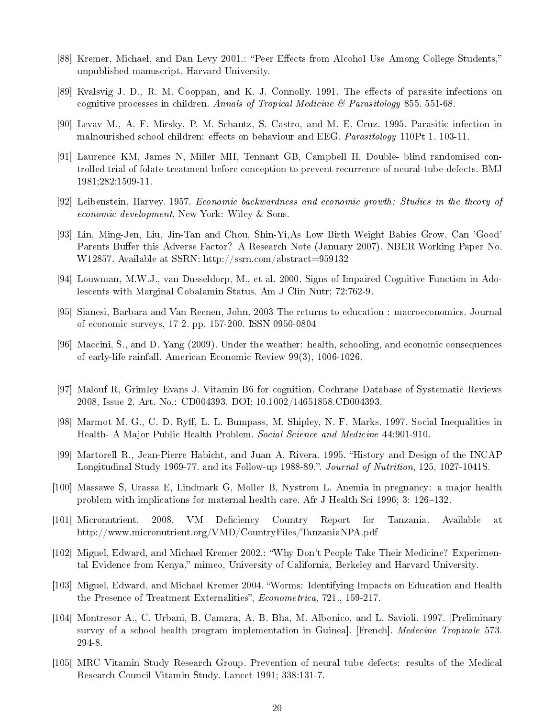- [88] Kremer, Michael, and Dan Levy 2001.: "Peer Effects from Alcohol Use Among College Students," unpublished manuscript, Harvard University.
- [89] Kvalsvig J. D., R. M. Cooppan, and K. J. Connolly. 1991. The effects of parasite infections on cognitive processes in children. Annals of Tropical Medicine & Parasitology 855. 551-68.
- [90] Levav M., A. F. Mirsky, P. M. Schantz, S. Castro, and M. E. Cruz. 1995. Parasitic infection in malnourished school children: effects on behaviour and EEG. Parasitology 110Pt 1. 103-11.
- [91] Laurence KM, James N, Miller MH, Tennant GB, Campbell H. Double- blind randomised controlled trial of folate treatment before conception to prevent recurrence of neural-tube defects. BMJ 1981;282:1509-11.
- [92] Leibenstein, Harvey. 1957. Economic backwardness and economic growth: Studies in the theory of economic development, New York: Wiley & Sons.
- [93] Lin, Ming-Jen, Liu, Jin-Tan and Chou, Shin-Yi,As Low Birth Weight Babies Grow, Can 'Good' Parents Buffer this Adverse Factor? A Research Note (January 2007). NBER Working Paper No. W12857. Available at SSRN: http://ssrn.com/abstract=959132
- [94] Louwman, M.W.J., van Dusseldorp, M., et al. 2000. Signs of Impaired Cognitive Function in Adolescents with Marginal Cobalamin Status. Am J Clin Nutr; 72:762-9.
- [95] Sianesi, Barbara and Van Reenen, John. 2003 The returns to education : macroeconomics. Journal of economic surveys, 17 2. pp. 157-200. ISSN 0950-0804
- [96] Maccini, S., and D. Yang (2009). Under the weather: health, schooling, and economic consequences of early-life rainfall. American Economic Review 99(3), 1006-1026.
- [97] Malouf R, Grimley Evans J. Vitamin B6 for cognition. Cochrane Database of Systematic Reviews 2008, Issue 2. Art. No.: CD004393. DOI: 10.1002/14651858.CD004393.
- [98] Marmot M. G., C. D. Ryff, L. L. Bumpass, M. Shipley, N. F. Marks. 1997. Social Inequalities in Health- A Major Public Health Problem. Social Science and Medicine 44:901-910.
- [99] Martorell R., Jean-Pierre Habicht, and Juan A. Rivera. 1995. "History and Design of the INCAP Longitudinal Study 1969-77. and its Follow-up 1988-89.". Journal of Nutrition, 125, 1027-1041S.
- [100] Massawe S, Urassa E, Lindmark G, Moller B, Nystrom L. Anemia in pregnancy: a major health problem with implications for maternal health care. Afr J Health Sci 1996; 3: 126–132.
- [101] Micronutrient. 2008. VM Deciency Country Report for Tanzania. Available at http://www.micronutrient.org/VMD/CountryFiles/TanzaniaNPA.pdf
- [102] Miguel, Edward, and Michael Kremer 2002.: Why Don't People Take Their Medicine? Experimental Evidence from Kenya," mimeo, University of California, Berkeley and Harvard University.
- [103] Miguel, Edward, and Michael Kremer 2004. Worms: Identifying Impacts on Education and Health the Presence of Treatment Externalities", Econometrica, 721., 159-217.
- [104] Montresor A., C. Urbani, B. Camara, A. B. Bha, M. Albonico, and L. Savioli. 1997. [Preliminary survey of a school health program implementation in Guinea. [French]. *Medecine Tropicale* 573. 294-8.
- [105] MRC Vitamin Study Research Group. Prevention of neural tube defects: results of the Medical Research Council Vitamin Study. Lancet 1991; 338:131-7.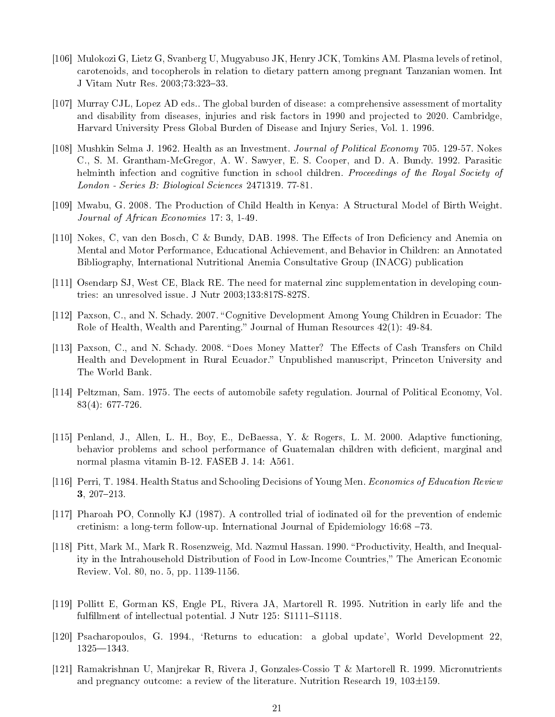- [106] Mulokozi G, Lietz G, Svanberg U, Mugyabuso JK, Henry JCK, Tomkins AM. Plasma levels of retinol, carotenoids, and tocopherols in relation to dietary pattern among pregnant Tanzanian women. Int J Vitam Nutr Res. 2003;73:323-33.
- [107] Murray CJL, Lopez AD eds.. The global burden of disease: a comprehensive assessment of mortality and disability from diseases, injuries and risk factors in 1990 and projected to 2020. Cambridge, Harvard University Press Global Burden of Disease and Injury Series, Vol. 1. 1996.
- [108] Mushkin Selma J. 1962. Health as an Investment. Journal of Political Economy 705. 129-57. Nokes C., S. M. Grantham-McGregor, A. W. Sawyer, E. S. Cooper, and D. A. Bundy. 1992. Parasitic helminth infection and cognitive function in school children. Proceedings of the Royal Society of London - Series B: Biological Sciences 2471319. 77-81.
- [109] Mwabu, G. 2008. The Production of Child Health in Kenya: A Structural Model of Birth Weight. Journal of African Economies 17: 3, 1-49.
- [110] Nokes, C, van den Bosch, C & Bundy, DAB. 1998. The Effects of Iron Deficiency and Anemia on Mental and Motor Performance, Educational Achievement, and Behavior in Children: an Annotated Bibliography, International Nutritional Anemia Consultative Group (INACG) publication
- [111] Osendarp SJ, West CE, Black RE. The need for maternal zinc supplementation in developing countries: an unresolved issue. J Nutr 2003;133:817S-827S.
- [112] Paxson, C., and N. Schady. 2007. "Cognitive Development Among Young Children in Ecuador: The Role of Health, Wealth and Parenting." Journal of Human Resources  $42(1)$ : 49-84.
- [113] Paxson, C., and N. Schady. 2008. "Does Money Matter? The Effects of Cash Transfers on Child Health and Development in Rural Ecuador." Unpublished manuscript, Princeton University and The World Bank.
- [114] Peltzman, Sam. 1975. The eects of automobile safety regulation. Journal of Political Economy, Vol. 83(4): 677-726.
- [115] Penland, J., Allen, L. H., Boy, E., DeBaessa, Y. & Rogers, L. M. 2000. Adaptive functioning, behavior problems and school performance of Guatemalan children with deficient, marginal and normal plasma vitamin B-12. FASEB J. 14: A561.
- [116] Perri, T. 1984. Health Status and Schooling Decisions of Young Men. Economics of Education Review 3, 207-213.
- [117] Pharoah PO, Connolly KJ (1987). A controlled trial of iodinated oil for the prevention of endemic cretinism: a long-term follow-up. International Journal of Epidemiology  $16:68 - 73$ .
- [118] Pitt, Mark M., Mark R. Rosenzweig, Md. Nazmul Hassan. 1990. "Productivity, Health, and Inequality in the Intrahousehold Distribution of Food in Low-Income Countries," The American Economic Review. Vol. 80, no. 5, pp. 1139-1156.
- [119] Pollitt E, Gorman KS, Engle PL, Rivera JA, Martorell R. 1995. Nutrition in early life and the fulfillment of intellectual potential. J Nutr  $125: S1111 - S1118$ .
- [120] Psacharopoulos, G. 1994., `Returns to education: a global update', World Development 22,  $1325 - 1343.$
- [121] Ramakrishnan U, Manjrekar R, Rivera J, Gonzales-Cossio T & Martorell R. 1999. Micronutrients and pregnancy outcome: a review of the literature. Nutrition Research 19,  $103\pm159$ .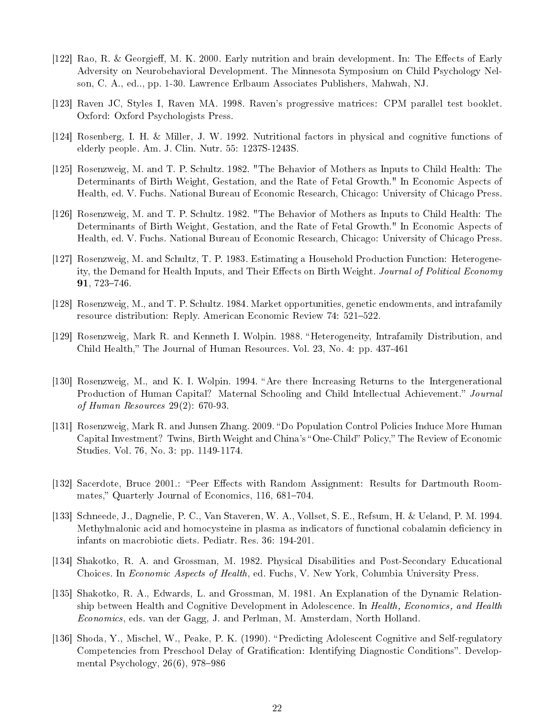- [122] Rao, R. & Georgieff, M. K. 2000. Early nutrition and brain development. In: The Effects of Early Adversity on Neurobehavioral Development. The Minnesota Symposium on Child Psychology Nelson, C. A., ed.., pp. 1-30. Lawrence Erlbaum Associates Publishers, Mahwah, NJ.
- [123] Raven JC, Styles I, Raven MA. 1998. Raven's progressive matrices: CPM parallel test booklet. Oxford: Oxford Psychologists Press.
- [124] Rosenberg, I. H. & Miller, J. W. 1992. Nutritional factors in physical and cognitive functions of elderly people. Am. J. Clin. Nutr. 55: 1237S-1243S.
- [125] Rosenzweig, M. and T. P. Schultz. 1982. "The Behavior of Mothers as Inputs to Child Health: The Determinants of Birth Weight, Gestation, and the Rate of Fetal Growth." In Economic Aspects of Health, ed. V. Fuchs. National Bureau of Economic Research, Chicago: University of Chicago Press.
- [126] Rosenzweig, M. and T. P. Schultz. 1982. "The Behavior of Mothers as Inputs to Child Health: The Determinants of Birth Weight, Gestation, and the Rate of Fetal Growth." In Economic Aspects of Health, ed. V. Fuchs. National Bureau of Economic Research, Chicago: University of Chicago Press.
- [127] Rosenzweig, M. and Schultz, T. P. 1983. Estimating a Household Production Function: Heterogeneity, the Demand for Health Inputs, and Their Effects on Birth Weight. Journal of Political Economy  $91,723-746.$
- [128] Rosenzweig, M., and T. P. Schultz. 1984. Market opportunities, genetic endowments, and intrafamily resource distribution: Reply. American Economic Review 74: 521-522.
- [129] Rosenzweig, Mark R. and Kenneth I. Wolpin. 1988. Heterogeneity, Intrafamily Distribution, and Child Health," The Journal of Human Resources. Vol. 23, No. 4: pp. 437-461
- [130] Rosenzweig, M., and K. I. Wolpin. 1994. "Are there Increasing Returns to the Intergenerational Production of Human Capital? Maternal Schooling and Child Intellectual Achievement." Journal of Human Resources 29(2): 670-93.
- [131] Rosenzweig, Mark R. and Junsen Zhang. 2009. "Do Population Control Policies Induce More Human Capital Investment? Twins, Birth Weight and China's "One-Child" Policy," The Review of Economic Studies. Vol. 76, No. 3: pp. 1149-1174.
- [132] Sacerdote, Bruce 2001.: "Peer Effects with Random Assignment: Results for Dartmouth Roommates," Quarterly Journal of Economics, 116, 681-704.
- [133] Schneede, J., Dagnelie, P. C., Van Staveren, W. A., Vollset, S. E., Refsum, H. & Ueland, P. M. 1994. Methylmalonic acid and homocysteine in plasma as indicators of functional cobalamin deficiency in infants on macrobiotic diets. Pediatr. Res. 36: 194-201.
- [134] Shakotko, R. A. and Grossman, M. 1982. Physical Disabilities and Post-Secondary Educational Choices. In Economic Aspects of Health, ed. Fuchs, V. New York, Columbia University Press.
- [135] Shakotko, R. A., Edwards, L. and Grossman, M. 1981. An Explanation of the Dynamic Relationship between Health and Cognitive Development in Adolescence. In Health, Economics, and Health Economics, eds. van der Gagg, J. and Perlman, M. Amsterdam, North Holland.
- [136] Shoda, Y., Mischel, W., Peake, P. K. (1990). "Predicting Adolescent Cognitive and Self-regulatory Competencies from Preschool Delay of Gratification: Identifying Diagnostic Conditions". Developmental Psychology,  $26(6)$ ,  $978-986$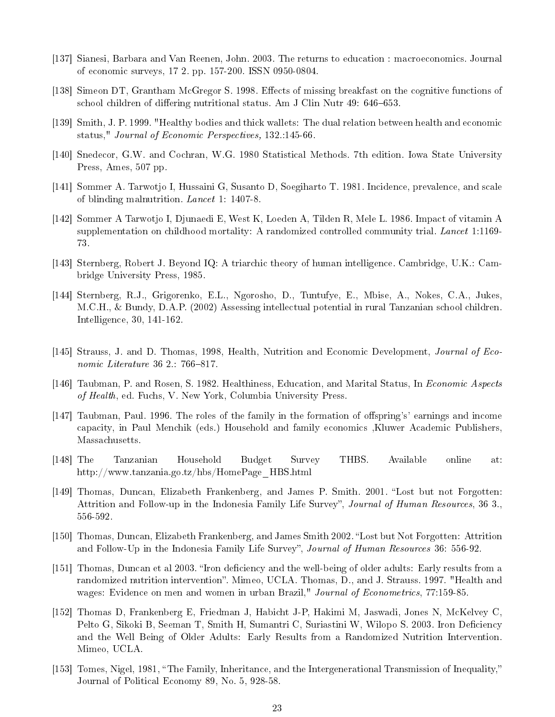- [137] Sianesi, Barbara and Van Reenen, John. 2003. The returns to education : macroeconomics. Journal of economic surveys, 17 2. pp. 157-200. ISSN 0950-0804.
- [138] Simeon DT, Grantham McGregor S. 1998. Effects of missing breakfast on the cognitive functions of school children of differing nutritional status. Am J Clin Nutr 49: 646-653.
- [139] Smith, J. P. 1999. "Healthy bodies and thick wallets: The dual relation between health and economic status," Journal of Economic Perspectives, 132.145-66.
- [140] Snedecor, G.W. and Cochran, W.G. 1980 Statistical Methods. 7th edition. Iowa State University Press, Ames, 507 pp.
- [141] Sommer A. Tarwotjo I, Hussaini G, Susanto D, Soegiharto T. 1981. Incidence, prevalence, and scale of blinding malnutrition. Lancet 1: 1407-8.
- [142] Sommer A Tarwotjo I, Djunaedi E, West K, Loeden A, Tilden R, Mele L. 1986. Impact of vitamin A supplementation on childhood mortality: A randomized controlled community trial. Lancet 1:1169-73.
- [143] Sternberg, Robert J. Beyond IQ: A triarchic theory of human intelligence. Cambridge, U.K.: Cambridge University Press, 1985.
- [144] Sternberg, R.J., Grigorenko, E.L., Ngorosho, D., Tuntufye, E., Mbise, A., Nokes, C.A., Jukes, M.C.H., & Bundy, D.A.P. (2002) Assessing intellectual potential in rural Tanzanian school children. Intelligence, 30, 141-162.
- [145] Strauss, J. and D. Thomas, 1998, Health, Nutrition and Economic Development, *Journal of Eco*nomic Literature  $36$  2.: 766-817.
- [146] Taubman, P. and Rosen, S. 1982. Healthiness, Education, and Marital Status, In Economic Aspects of Health, ed. Fuchs, V. New York, Columbia University Press.
- [147] Taubman, Paul. 1996. The roles of the family in the formation of offspring's' earnings and income capacity, in Paul Menchik (eds.) Household and family economics ,Kluwer Academic Publishers, Massachusetts.
- [148] The Tanzanian Household Budget Survey THBS. Available online at: http://www.tanzania.go.tz/hbs/HomePage\_HBS.html
- [149] Thomas, Duncan, Elizabeth Frankenberg, and James P. Smith. 2001. "Lost but not Forgotten: Attrition and Follow-up in the Indonesia Family Life Survey", Journal of Human Resources, 36 3., 556-592.
- [150] Thomas, Duncan, Elizabeth Frankenberg, and James Smith 2002. "Lost but Not Forgotten: Attrition and Follow-Up in the Indonesia Family Life Survey", Journal of Human Resources 36: 556-92.
- [151] Thomas, Duncan et al 2003. "Iron deficiency and the well-being of older adults: Early results from a randomized nutrition intervention". Mimeo, UCLA. Thomas, D., and J. Strauss. 1997. "Health and wages: Evidence on men and women in urban Brazil," Journal of Econometrics, 77:159-85.
- [152] Thomas D, Frankenberg E, Friedman J, Habicht J-P, Hakimi M, Jaswadi, Jones N, McKelvey C, Pelto G, Sikoki B, Seeman T, Smith H, Sumantri C, Suriastini W, Wilopo S. 2003. Iron Deficiency and the Well Being of Older Adults: Early Results from a Randomized Nutrition Intervention. Mimeo, UCLA.
- [153] Tomes, Nigel, 1981, "The Family, Inheritance, and the Intergenerational Transmission of Inequality," Journal of Political Economy 89, No. 5, 928-58.